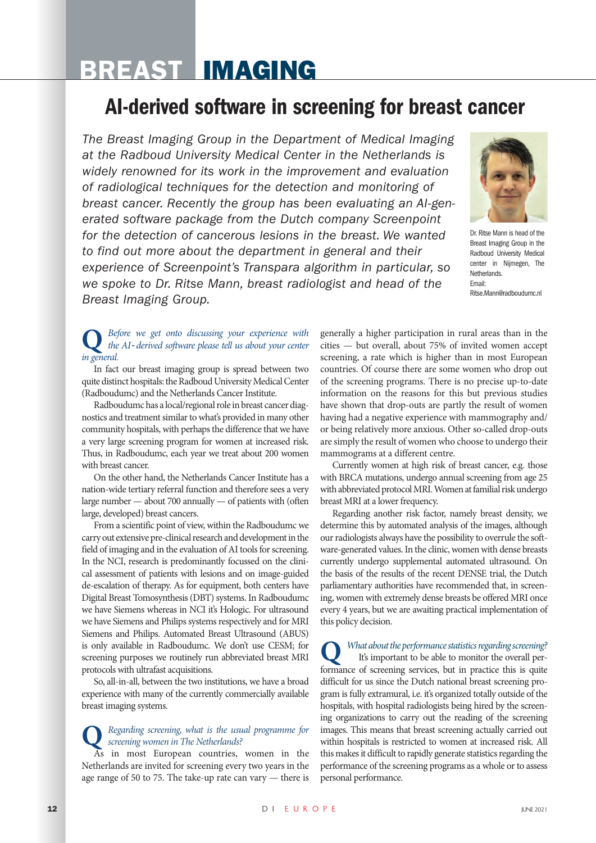# BREAST IMAGING

# AI-derived software in screening for breast cancer

*The Breast Imaging Group in the Department of Medical Imaging at the Radboud University Medical Center in the Netherlands is widely renowned for its work in the improvement and evaluation of radiological techniques for the detection and monitoring of breast cancer. Recently the group has been evaluating an AI*‐*generated software package from the Dutch company Screenpoint for the detection of cancerous lesions in the breast. We wanted to find out more about the department in general and their experience of Screenpoint's Transpara algorithm in particular, so we spoke to Dr. Ritse Mann, breast radiologist and head of the Breast Imaging Group.*



Dr. Ritse Mann is head of the Breast Imaging Group in the Radboud University Medical center in Nijmegen, The **Netherlands** Email: Ritse.Mann@radboudumc.nl

#### **Q** *Before we get onto discussing your experience with the AI‐derived software please tell us about your center in general.*

In fact our breast imaging group is spread between two quite distinct hospitals: the Radboud University Medical Center (Radboudumc) and the Netherlands Cancer Institute.

Radboudumc has a local/regional role in breast cancer diagnostics and treatment similar to what's provided in many other community hospitals, with perhaps the difference that we have a very large screening program for women at increased risk. Thus, in Radboudumc, each year we treat about 200 women with breast cancer.

On the other hand, the Netherlands Cancer Institute has a nation-wide tertiary referral function and therefore sees a very large number — about 700 annually — of patients with (often large, developed) breast cancers.

From a scientific point of view, within the Radboudumc we carry out extensive pre-clinical research and development in the field of imaging and in the evaluation of AI tools for screening. In the NCI, research is predominantly focussed on the clinical assessment of patients with lesions and on image-guided de-escalation of therapy. As for equipment, both centers have Digital Breast Tomosynthesis (DBT) systems. In Radboudumc we have Siemens whereas in NCI it's Hologic. For ultrasound we have Siemens and Philips systems respectively and for MRI Siemens and Philips. Automated Breast Ultrasound (ABUS) is only available in Radboudumc. We don't use CESM; for screening purposes we routinely run abbreviated breast MRI protocols with ultrafast acquisitions.

So, all-in-all, between the two institutions, we have a broad experience with many of the currently commercially available breast imaging systems.

#### **Q** *Regarding screening, what is the usual programme for screening women in The Netherlands?*

As in most European countries, women in the Netherlands are invited for screening every two years in the age range of 50 to 75. The take-up rate can vary — there is generally a higher participation in rural areas than in the cities — but overall, about 75% of invited women accept screening, a rate which is higher than in most European countries. Of course there are some women who drop out of the screening programs. There is no precise up-to-date information on the reasons for this but previous studies have shown that drop-outs are partly the result of women having had a negative experience with mammography and/ or being relatively more anxious. Other so-called drop-outs are simply the result of women who choose to undergo their mammograms at a different centre.

Currently women at high risk of breast cancer, e.g. those with BRCA mutations, undergo annual screening from age 25 with abbreviated protocol MRI. Women at familial risk undergo breast MRI at a lower frequency.

Regarding another risk factor, namely breast density, we determine this by automated analysis of the images, although our radiologists always have the possibility to overrule the software-generated values. In the clinic, women with dense breasts currently undergo supplemental automated ultrasound. On the basis of the results of the recent DENSE trial, the Dutch parliamentary authorities have recommended that, in screening, women with extremely dense breasts be offered MRI once every 4 years, but we are awaiting practical implementation of this policy decision.

**Q** *What about the performance statistics regarding screening?*  It's important to be able to monitor the overall performance of screening services, but in practice this is quite difficult for us since the Dutch national breast screening program is fully extramural, i.e. it's organized totally outside of the hospitals, with hospital radiologists being hired by the screening organizations to carry out the reading of the screening images. This means that breast screening actually carried out within hospitals is restricted to women at increased risk. All this makes it difficult to rapidly generate statistics regarding the performance of the screening programs as a whole or to assess personal performance.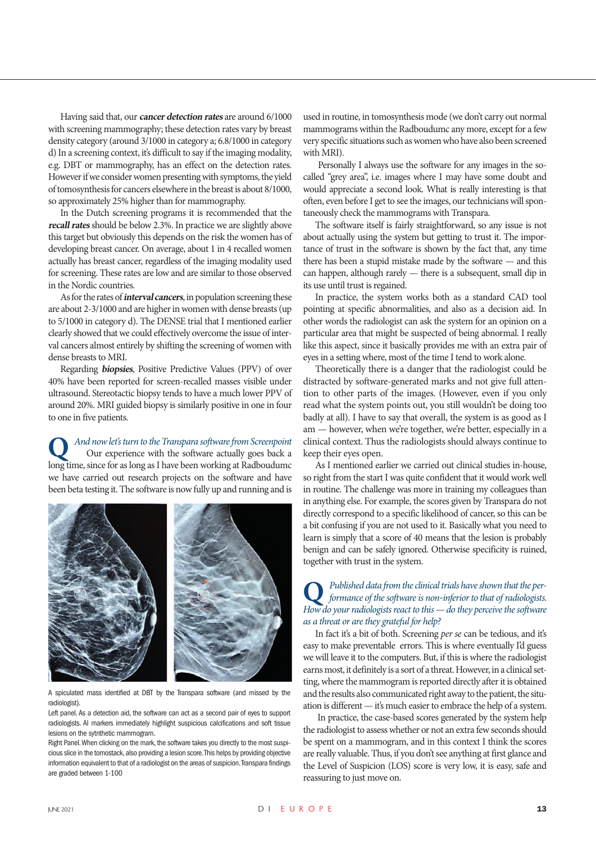Having said that, our **cancer detection rates** are around 6/1000 with screening mammography; these detection rates vary by breast density category (around 3/1000 in category a; 6.8/1000 in category d) In a screening context, it's difficult to say if the imaging modality, e.g. DBT or mammography, has an effect on the detection rates. However if we consider women presenting with symptoms, the yield of tomosynthesis for cancers elsewhere in the breast is about 8/1000, so approximately 25% higher than for mammography.

In the Dutch screening programs it is recommended that the **recall rates** should be below 2.3%. In practice we are slightly above this target but obviously this depends on the risk the women has of developing breast cancer. On average, about 1 in 4 recalled women actually has breast cancer, regardless of the imaging modality used for screening. These rates are low and are similar to those observed in the Nordic countries.

As for the rates of **interval cancers**, in population screening these are about 2-3/1000 and are higher in women with dense breasts (up to 5/1000 in category d). The DENSE trial that I mentioned earlier clearly showed that we could effectively overcome the issue of interval cancers almost entirely by shifting the screening of women with dense breasts to MRI.

Regarding **biopsies**, Positive Predictive Values (PPV) of over 40% have been reported for screen-recalled masses visible under ultrasound. Stereotactic biopsy tends to have a much lower PPV of around 20%. MRI guided biopsy is similarly positive in one in four to one in five patients.

**Q** *And now let's turn to the Transpara software from Screenpoint* Our experience with the software actually goes back a long time, since for as long as I have been working at Radboudumc we have carried out research projects on the software and have been beta testing it. The software is now fully up and running and is



A spiculated mass identified at DBT by the Transpara software (and missed by the radiologist).

Left panel. As a detection aid, the software can act as a second pair of eyes to support radiologists. AI markers immediately highlight suspicious calcifications and soft tissue lesions on the sytnthetic mammogram.

Right Panel. When clicking on the mark, the software takes you directly to the most suspicious slice in the tomostack, also providing a lesion score. This helps by providing objective information equivalent to that of a radiologist on the areas of suspicion. Transpara findings are graded between 1-100

used in routine, in tomosynthesis mode (we don't carry out normal mammograms within the Radboudumc any more, except for a few very specific situations such as women who have also been screened with MRI).

 Personally I always use the software for any images in the socalled "grey area", i.e. images where I may have some doubt and would appreciate a second look. What is really interesting is that often, even before I get to see the images, our technicians will spontaneously check the mammograms with Transpara.

The software itself is fairly straightforward, so any issue is not about actually using the system but getting to trust it. The importance of trust in the software is shown by the fact that, any time there has been a stupid mistake made by the software — and this can happen, although rarely — there is a subsequent, small dip in its use until trust is regained.

In practice, the system works both as a standard CAD tool pointing at specific abnormalities, and also as a decision aid. In other words the radiologist can ask the system for an opinion on a particular area that might be suspected of being abnormal. I really like this aspect, since it basically provides me with an extra pair of eyes in a setting where, most of the time I tend to work alone.

Theoretically there is a danger that the radiologist could be distracted by software-generated marks and not give full attention to other parts of the images. (However, even if you only read what the system points out, you still wouldn't be doing too badly at all). I have to say that overall, the system is as good as I am — however, when we're together, we're better, especially in a clinical context. Thus the radiologists should always continue to keep their eyes open.

As I mentioned earlier we carried out clinical studies in-house, so right from the start I was quite confident that it would work well in routine. The challenge was more in training my colleagues than in anything else. For example, the scores given by Transpara do not directly correspond to a specific likelihood of cancer, so this can be a bit confusing if you are not used to it. Basically what you need to learn is simply that a score of 40 means that the lesion is probably benign and can be safely ignored. Otherwise specificity is ruined, together with trust in the system.

## **Q** *Published data from the clinical trials have shown that the per-formance of the software is non‐inferior to that of radiologists. How do your radiologists react to this — do they perceive the software as a threat or are they grateful for help?*

In fact it's a bit of both. Screening *per se* can be tedious, and it's easy to make preventable errors. This is where eventually I'd guess we will leave it to the computers. But, if this is where the radiologist earns most, it definitely is a sort of a threat. However, in a clinical setting, where the mammogram is reported directly after it is obtained and the results also communicated right away to the patient, the situation is different — it's much easier to embrace the help of a system.

 In practice, the case-based scores generated by the system help the radiologist to assess whether or not an extra few seconds should be spent on a mammogram, and in this context I think the scores are really valuable. Thus, if you don't see anything at first glance and the Level of Suspicion (LOS) score is very low, it is easy, safe and reassuring to just move on.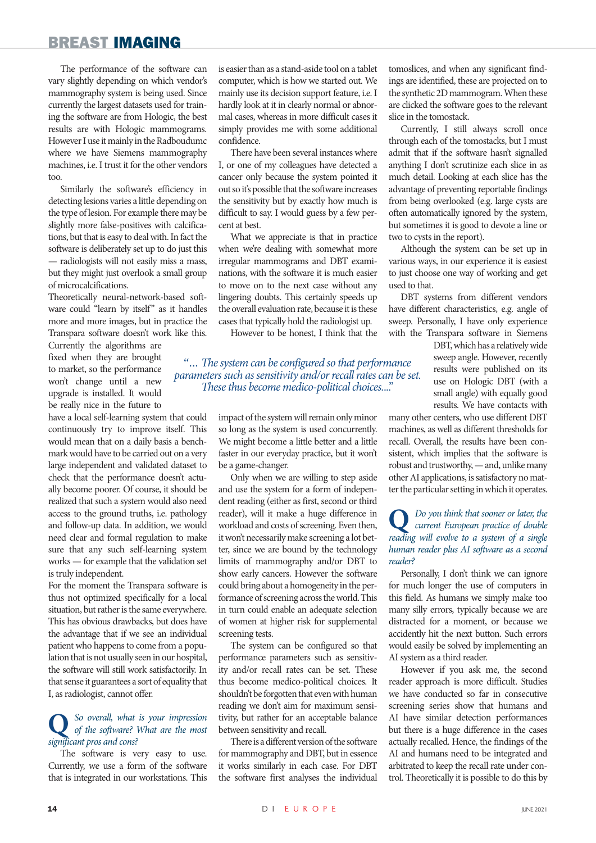#### BREAST IMAGING

The performance of the software can vary slightly depending on which vendor's mammography system is being used. Since currently the largest datasets used for training the software are from Hologic, the best results are with Hologic mammograms. However I use it mainly in the Radboudumc where we have Siemens mammography machines, i.e. I trust it for the other vendors too.

Similarly the software's efficiency in detecting lesions varies a little depending on the type of lesion. For example there may be slightly more false-positives with calcifications, but that is easy to deal with. In fact the software is deliberately set up to do just this — radiologists will not easily miss a mass, but they might just overlook a small group of microcalcifications.

Theoretically neural‐network‐based software could "learn by itself" as it handles more and more images, but in practice the Transpara software doesn't work like this.

Currently the algorithms are fixed when they are brought to market, so the performance won't change until a new upgrade is installed. It would be really nice in the future to

have a local self-learning system that could continuously try to improve itself. This would mean that on a daily basis a benchmark would have to be carried out on a very large independent and validated dataset to check that the performance doesn't actually become poorer. Of course, it should be realized that such a system would also need access to the ground truths, i.e. pathology and follow-up data. In addition, we would need clear and formal regulation to make sure that any such self-learning system works — for example that the validation set is truly independent.

For the moment the Transpara software is thus not optimized specifically for a local situation, but rather is the same everywhere. This has obvious drawbacks, but does have the advantage that if we see an individual patient who happens to come from a population that is not usually seen in our hospital, the software will still work satisfactorily. In that sense it guarantees a sort of equality that I, as radiologist, cannot offer.

# **Q** *So overall, what is your impression of the software? What are the most significant pros and cons?*

The software is very easy to use. Currently, we use a form of the software that is integrated in our workstations. This

is easier than as a stand-aside tool on a tablet computer, which is how we started out. We mainly use its decision support feature, i.e. I hardly look at it in clearly normal or abnormal cases, whereas in more difficult cases it simply provides me with some additional confidence.

There have been several instances where I, or one of my colleagues have detected a cancer only because the system pointed it out so it's possible that the software increases the sensitivity but by exactly how much is difficult to say. I would guess by a few percent at best.

What we appreciate is that in practice when we're dealing with somewhat more irregular mammograms and DBT examinations, with the software it is much easier to move on to the next case without any lingering doubts. This certainly speeds up the overall evaluation rate, because it is these cases that typically hold the radiologist up.

However to be honest, I think that the

"... *The system can be configured so that performance parameters such as sensitivity and/or recall rates can be set. These thus become medico-political choices.*..."

> impact of the system will remain only minor so long as the system is used concurrently. We might become a little better and a little faster in our everyday practice, but it won't be a game-changer.

> Only when we are willing to step aside and use the system for a form of independent reading (either as first, second or third reader), will it make a huge difference in workload and costs of screening. Even then, it won't necessarily make screening a lot better, since we are bound by the technology limits of mammography and/or DBT to show early cancers. However the software could bring about a homogeneity in the performance of screening across the world. This in turn could enable an adequate selection of women at higher risk for supplemental screening tests.

> The system can be configured so that performance parameters such as sensitivity and/or recall rates can be set. These thus become medico-political choices. It shouldn't be forgotten that even with human reading we don't aim for maximum sensitivity, but rather for an acceptable balance between sensitivity and recall.

> There is a different version of the software for mammography and DBT, but in essence it works similarly in each case. For DBT the software first analyses the individual

tomoslices, and when any significant findings are identified, these are projected on to the synthetic 2D mammogram. When these are clicked the software goes to the relevant slice in the tomostack.

Currently, I still always scroll once through each of the tomostacks, but I must admit that if the software hasn't signalled anything I don't scrutinize each slice in as much detail. Looking at each slice has the advantage of preventing reportable findings from being overlooked (e.g. large cysts are often automatically ignored by the system, but sometimes it is good to devote a line or two to cysts in the report).

Although the system can be set up in various ways, in our experience it is easiest to just choose one way of working and get used to that.

DBT systems from different vendors have different characteristics, e.g. angle of sweep. Personally, I have only experience with the Transpara software in Siemens

> DBT, which has a relatively wide sweep angle. However, recently results were published on its use on Hologic DBT (with a small angle) with equally good results. We have contacts with

many other centers, who use different DBT machines, as well as different thresholds for recall. Overall, the results have been consistent, which implies that the software is robust and trustworthy, — and, unlike many other AI applications, is satisfactory no matter the particular setting in which it operates.

#### **Q** *Do you think that sooner or later, the current European practice of double reading will evolve to a system of a single human reader plus AI software as a second reader?*

Personally, I don't think we can ignore for much longer the use of computers in this field. As humans we simply make too many silly errors, typically because we are distracted for a moment, or because we accidently hit the next button. Such errors would easily be solved by implementing an AI system as a third reader.

However if you ask me, the second reader approach is more difficult. Studies we have conducted so far in consecutive screening series show that humans and AI have similar detection performances but there is a huge difference in the cases actually recalled. Hence, the findings of the AI and humans need to be integrated and arbitrated to keep the recall rate under control. Theoretically it is possible to do this by